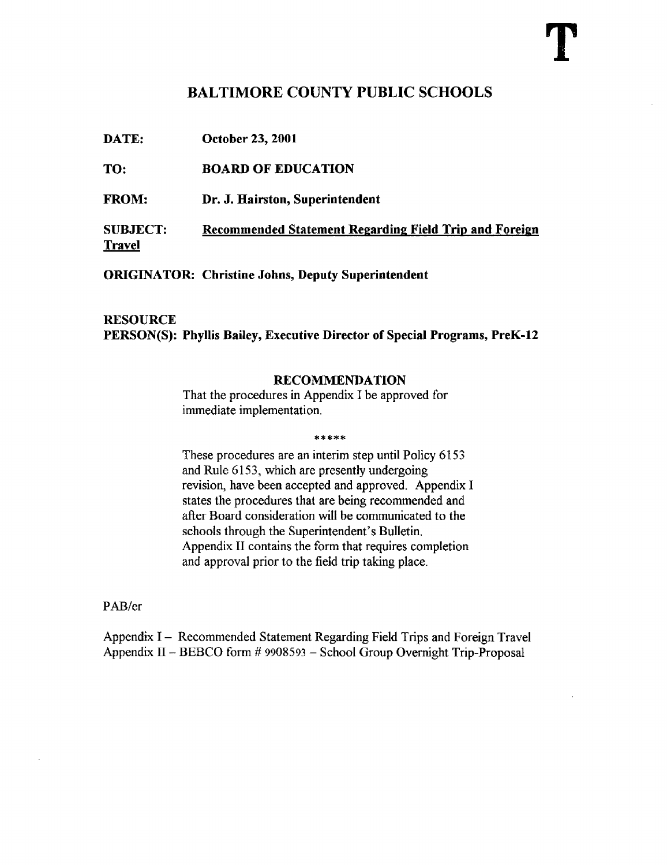# BALTIMORE COUNTY PUBLIC SCHOOLS

DATE: October 23, <sup>2001</sup>

TO: BOARD OF EDUCATION

FROM: Dr. J. Hairston, Superintendent

SUBJECT: Recommended Statement Regarding Field Trip and Foreign Travel

ORIGINATOR: Christine Johns, Deputy Superintendent

### **RESOURCE** PERSON(S): Phyllis Bailey, Executive Director of Special Programs, PreK-12

#### RECOMMENDATION

That the procedures in Appendix <sup>I</sup> be approved for immediate implementation.

\*\*\*\*\*

These procedures are an interim step until Policy 6153 and Rule 6153, which are presently undergoing revision, have been accepted and approved. Appendix <sup>I</sup> states the procedures that are being recommended and after Board consideration will be communicated to the schools through the Superintendent's Bulletin. Appendix II contains the form that requires completion and approval prior to the field trip taking place.

PAB/cr

Appendix <sup>I</sup> - Recommended Statement Regarding Field Trips and Foreign Travel Appendix <sup>11</sup> - BEBCO form # <sup>9908593</sup> - School Group Overnight Trip-Proposal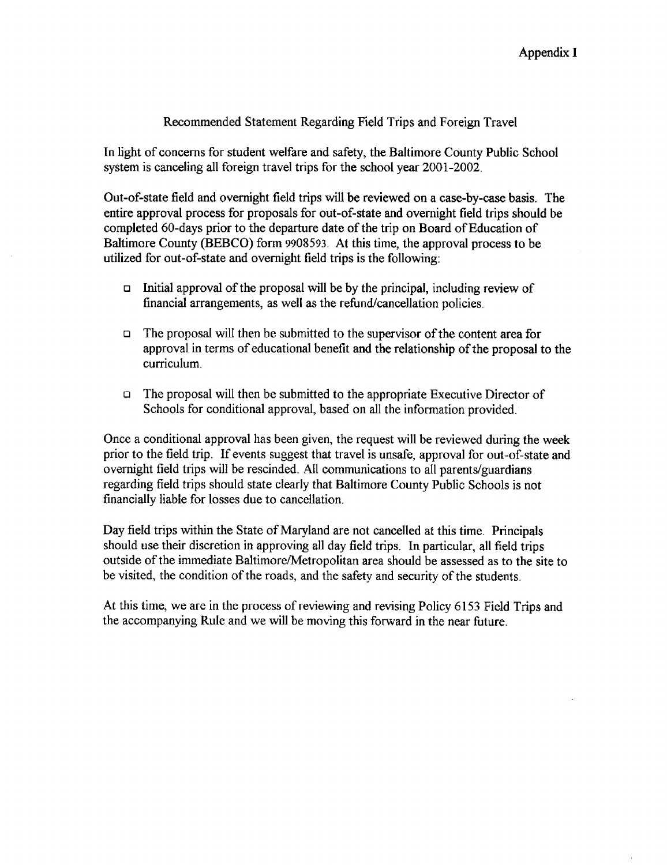### Recommended Statement Regarding Field Trips and Foreign Travel

In light of concerns for student welfare and safety, the Baltimore County Public School system is canceling all foreign travel trips for the school year 2001-2002.

Out-of-state field and overnight field trips will be reviewed on a case-by-case basis . The entire approval process for proposals for out-of-state and overnight field trips should be completed 60-days prior to the departure date of the trip on Board of Education of Baltimore County (BEBCO) form 9905593. At this time, the approval process to be utilized for out-of-state and overnight field trips is the following :

- $\Box$  Initial approval of the proposal will be by the principal, including review of financial arrangements, as well as the refund/cancellation policies.
- $\Box$  The proposal will then be submitted to the supervisor of the content area for approval in terms of educational benefit and the relationship of the proposal to the curriculum.
- a The proposal will then be submitted to the appropriate Executive Director of Schools for conditional approval, based on all the information provided.

Once a conditional approval has been given, the request will be reviewed during the week prior to the field trip. If events suggest that travel is unsafe, approval for out-of-state and overnight field trips will be rescinded . All communications to all parents/guardians regarding field trips should state clearly that Baltimore County Public Schools is not financially liable for losses due to cancellation .

Day field trips within the State of Maryland are not cancelled at this time. Principals should use their discretion in approving all day field trips. In particular, all field trips outside of the immediate Baltimore/Metropolitan area should be assessed as to the site to be visited, the condition of the roads, and the safety and security of the students.

At this time, we are in the process of reviewing and revising Policy 6153 Field Trips and the accompanying Rule and we will be moving this forward in the near future .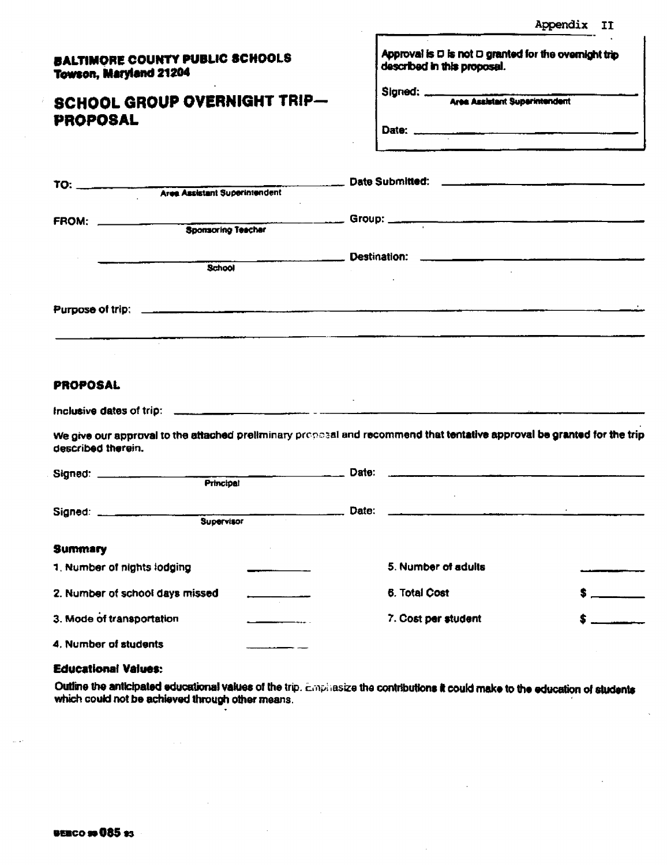Appendix II

|                               | <b>BALTIMORE COUNTY PUBLIC SCHOOLS</b> |  |
|-------------------------------|----------------------------------------|--|
| <b>Towson, Maryland 21204</b> |                                        |  |

## **SCHOOL G PROPOSA**

| <b>BALTIMORE COUNTY PUBLIC SCHOOLS</b><br><b>Towson, Maryland 21204</b>                                                                       | Approval is $\square$ is not $\square$ granted for the overnight trip<br>described in this proposal. |  |
|-----------------------------------------------------------------------------------------------------------------------------------------------|------------------------------------------------------------------------------------------------------|--|
| <b>SCHOOL GROUP OVERNIGHT TRIP-</b><br><b>PROPOSAL</b>                                                                                        | Signed: Mes Assistant Superintendent                                                                 |  |
|                                                                                                                                               |                                                                                                      |  |
| FROM: 3ponsoring Teacher Group: 3ponsoring Teacher                                                                                            |                                                                                                      |  |
| School                                                                                                                                        |                                                                                                      |  |
|                                                                                                                                               |                                                                                                      |  |
| <u> 1989 - Jan Barbara Barat III a Shekara Tanzania a Tsara</u>                                                                               |                                                                                                      |  |
| <b>PROPOSAL</b>                                                                                                                               |                                                                                                      |  |
|                                                                                                                                               |                                                                                                      |  |
| We give our approval to the attached preliminary proposal and recommend that tentative approval be granted for the trip<br>described therein. |                                                                                                      |  |
|                                                                                                                                               |                                                                                                      |  |
|                                                                                                                                               |                                                                                                      |  |
| Summary                                                                                                                                       |                                                                                                      |  |
| 1. Number of nights lodging                                                                                                                   | 5. Number of adults                                                                                  |  |
| 2. Number of school days missed                                                                                                               | 6. Total Cost                                                                                        |  |
| 3. Mode of transportation                                                                                                                     | 7. Cost per student                                                                                  |  |
| 4. Number of students                                                                                                                         |                                                                                                      |  |

#### **Educational Values:**

Outline the anticipated educational values of the trip. Emphasize the contributions it could make to the education of students which could not be achieved through other means.